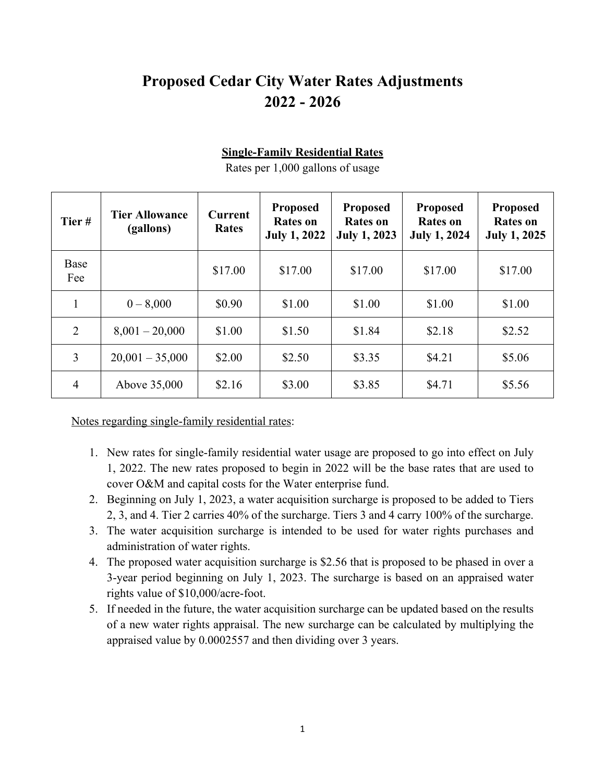# **Proposed Cedar City Water Rates Adjustments 2022 - 2026**

| Tier#       | <b>Tier Allowance</b><br>(gallons) | <b>Current</b><br><b>Rates</b> | <b>Proposed</b><br><b>Rates on</b><br><b>July 1, 2022</b> | <b>Proposed</b><br><b>Rates on</b><br><b>July 1, 2023</b> | <b>Proposed</b><br><b>Rates on</b><br><b>July 1, 2024</b> | <b>Proposed</b><br><b>Rates on</b><br><b>July 1, 2025</b> |
|-------------|------------------------------------|--------------------------------|-----------------------------------------------------------|-----------------------------------------------------------|-----------------------------------------------------------|-----------------------------------------------------------|
| Base<br>Fee |                                    | \$17.00                        | \$17.00                                                   | \$17.00                                                   | \$17.00                                                   | \$17.00                                                   |
|             | $0 - 8,000$                        | \$0.90                         | \$1.00                                                    | \$1.00                                                    | \$1.00                                                    | \$1.00                                                    |
| 2           | $8,001 - 20,000$                   | \$1.00                         | \$1.50                                                    | \$1.84                                                    | \$2.18                                                    | \$2.52                                                    |
| 3           | $20,001 - 35,000$                  | \$2.00                         | \$2.50                                                    | \$3.35                                                    | \$4.21                                                    | \$5.06                                                    |
| 4           | Above 35,000                       | \$2.16                         | \$3.00                                                    | \$3.85                                                    | \$4.71                                                    | \$5.56                                                    |

**Single-Family Residential Rates**

Rates per 1,000 gallons of usage

Notes regarding single-family residential rates:

- 1. New rates for single-family residential water usage are proposed to go into effect on July 1, 2022. The new rates proposed to begin in 2022 will be the base rates that are used to cover O&M and capital costs for the Water enterprise fund.
- 2. Beginning on July 1, 2023, a water acquisition surcharge is proposed to be added to Tiers 2, 3, and 4. Tier 2 carries 40% of the surcharge. Tiers 3 and 4 carry 100% of the surcharge.
- 3. The water acquisition surcharge is intended to be used for water rights purchases and administration of water rights.
- 4. The proposed water acquisition surcharge is \$2.56 that is proposed to be phased in over a 3-year period beginning on July 1, 2023. The surcharge is based on an appraised water rights value of \$10,000/acre-foot.
- 5. If needed in the future, the water acquisition surcharge can be updated based on the results of a new water rights appraisal. The new surcharge can be calculated by multiplying the appraised value by 0.0002557 and then dividing over 3 years.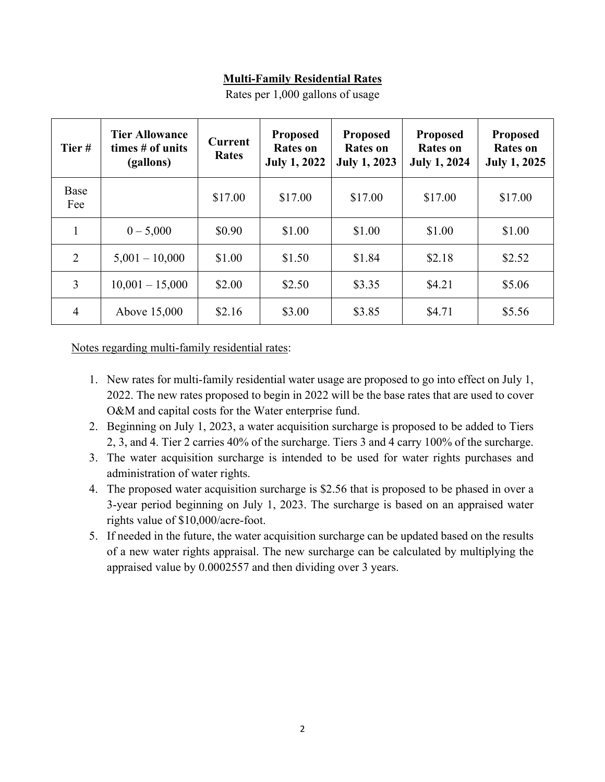#### **Multi-Family Residential Rates**

| Tier#          | <b>Tier Allowance</b><br>times # of units<br>(gallons) | <b>Current</b><br><b>Rates</b> | <b>Proposed</b><br><b>Rates on</b><br><b>July 1, 2022</b> | <b>Proposed</b><br><b>Rates on</b><br><b>July 1, 2023</b> | <b>Proposed</b><br><b>Rates on</b><br><b>July 1, 2024</b> | <b>Proposed</b><br><b>Rates on</b><br><b>July 1, 2025</b> |
|----------------|--------------------------------------------------------|--------------------------------|-----------------------------------------------------------|-----------------------------------------------------------|-----------------------------------------------------------|-----------------------------------------------------------|
| Base<br>Fee    |                                                        | \$17.00                        | \$17.00                                                   | \$17.00                                                   | \$17.00                                                   | \$17.00                                                   |
| $\mathbf{1}$   | $0 - 5,000$                                            | \$0.90                         | \$1.00                                                    | \$1.00                                                    | \$1.00                                                    | \$1.00                                                    |
| 2              | $5,001 - 10,000$                                       | \$1.00                         | \$1.50                                                    | \$1.84                                                    | \$2.18                                                    | \$2.52                                                    |
| 3              | $10,001 - 15,000$                                      | \$2.00                         | \$2.50                                                    | \$3.35                                                    | \$4.21                                                    | \$5.06                                                    |
| $\overline{4}$ | Above 15,000                                           | \$2.16                         | \$3.00                                                    | \$3.85                                                    | \$4.71                                                    | \$5.56                                                    |

Rates per 1,000 gallons of usage

Notes regarding multi-family residential rates:

- 1. New rates for multi-family residential water usage are proposed to go into effect on July 1, 2022. The new rates proposed to begin in 2022 will be the base rates that are used to cover O&M and capital costs for the Water enterprise fund.
- 2. Beginning on July 1, 2023, a water acquisition surcharge is proposed to be added to Tiers 2, 3, and 4. Tier 2 carries 40% of the surcharge. Tiers 3 and 4 carry 100% of the surcharge.
- 3. The water acquisition surcharge is intended to be used for water rights purchases and administration of water rights.
- 4. The proposed water acquisition surcharge is \$2.56 that is proposed to be phased in over a 3-year period beginning on July 1, 2023. The surcharge is based on an appraised water rights value of \$10,000/acre-foot.
- 5. If needed in the future, the water acquisition surcharge can be updated based on the results of a new water rights appraisal. The new surcharge can be calculated by multiplying the appraised value by 0.0002557 and then dividing over 3 years.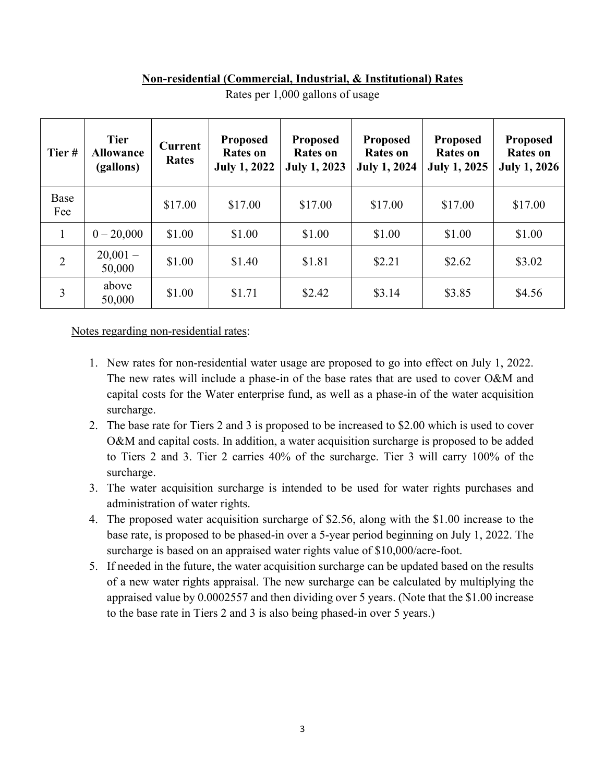#### **Non-residential (Commercial, Industrial, & Institutional) Rates**

| Tier#       | <b>Tier</b><br><b>Allowance</b><br>(gallons) | Current<br>Rates | <b>Proposed</b><br>Rates on<br><b>July 1, 2022</b> | <b>Proposed</b><br><b>Rates on</b><br><b>July 1, 2023</b> | <b>Proposed</b><br><b>Rates on</b><br><b>July 1, 2024</b> | <b>Proposed</b><br><b>Rates on</b><br><b>July 1, 2025</b> | <b>Proposed</b><br><b>Rates</b> on<br><b>July 1, 2026</b> |
|-------------|----------------------------------------------|------------------|----------------------------------------------------|-----------------------------------------------------------|-----------------------------------------------------------|-----------------------------------------------------------|-----------------------------------------------------------|
| Base<br>Fee |                                              | \$17.00          | \$17.00                                            | \$17.00                                                   | \$17.00                                                   | \$17.00                                                   | \$17.00                                                   |
| 1           | $0 - 20,000$                                 | \$1.00           | \$1.00                                             | \$1.00                                                    | \$1.00                                                    | \$1.00                                                    | \$1.00                                                    |
| 2           | $20,001-$<br>50,000                          | \$1.00           | \$1.40                                             | \$1.81                                                    | \$2.21                                                    | \$2.62                                                    | \$3.02                                                    |
| 3           | above<br>50,000                              | \$1.00           | \$1.71                                             | \$2.42                                                    | \$3.14                                                    | \$3.85                                                    | \$4.56                                                    |

Rates per 1,000 gallons of usage

Notes regarding non-residential rates:

- 1. New rates for non-residential water usage are proposed to go into effect on July 1, 2022. The new rates will include a phase-in of the base rates that are used to cover O&M and capital costs for the Water enterprise fund, as well as a phase-in of the water acquisition surcharge.
- 2. The base rate for Tiers 2 and 3 is proposed to be increased to \$2.00 which is used to cover O&M and capital costs. In addition, a water acquisition surcharge is proposed to be added to Tiers 2 and 3. Tier 2 carries 40% of the surcharge. Tier 3 will carry 100% of the surcharge.
- 3. The water acquisition surcharge is intended to be used for water rights purchases and administration of water rights.
- 4. The proposed water acquisition surcharge of \$2.56, along with the \$1.00 increase to the base rate, is proposed to be phased-in over a 5-year period beginning on July 1, 2022. The surcharge is based on an appraised water rights value of \$10,000/acre-foot.
- 5. If needed in the future, the water acquisition surcharge can be updated based on the results of a new water rights appraisal. The new surcharge can be calculated by multiplying the appraised value by 0.0002557 and then dividing over 5 years. (Note that the \$1.00 increase to the base rate in Tiers 2 and 3 is also being phased-in over 5 years.)